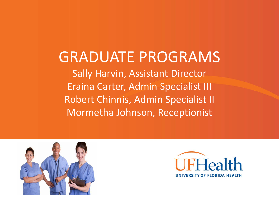# GRADUATE PROGRAMS Sally Harvin, Assistant Director Eraina Carter, Admin Specialist III Robert Chinnis, Admin Specialist II Mormetha Johnson, Receptionist



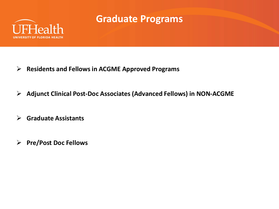

## **Graduate Programs**

- **Residents and Fellows in ACGME Approved Programs**
- **Adjunct Clinical Post-Doc Associates (Advanced Fellows) in NON-ACGME**
- **Graduate Assistants**
- **Pre/Post Doc Fellows**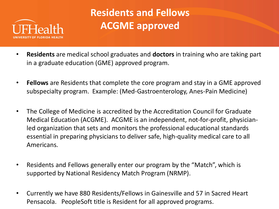

## **Residents and Fellows ACGME approved**

- **Residents** are medical school graduates and **doctors** in training who are taking part in a graduate education (GME) approved program.
- **Fellows** are Residents that complete the core program and stay in a GME approved subspecialty program. Example: (Med-Gastroenterology, Anes-Pain Medicine)
- The College of Medicine is accredited by the Accreditation Council for Graduate Medical Education (ACGME). ACGME is an independent, not-for-profit, physicianled organization that sets and monitors the professional educational standards essential in preparing physicians to deliver safe, high-quality medical care to all Americans.
- Residents and Fellows generally enter our program by the "Match", which is supported by National Residency Match Program (NRMP).
- Currently we have 880 Residents/Fellows in Gainesville and 57 in Sacred Heart Pensacola. PeopleSoft title is Resident for all approved programs.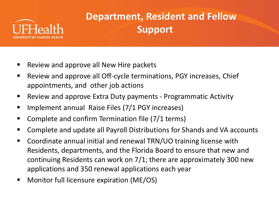

## **Department, Resident and Fellow Support**

- Review and approve all New Hire packets
- Review and approve all Off-cycle terminations, PGY increases, Chief appointments, and other job actions
- **Review and approve Extra Duty payments Programmatic Activity**
- **IMPLEMENT ANNUAL RAISE FILES (7/1 PGY increases)**
- Complete and confirm Termination file (7/1 terms)
- Complete and update all Payroll Distributions for Shands and VA accounts
- Coordinate annual initial and renewal TRN/UO training license with Residents, departments, and the Florida Board to ensure that new and continuing Residents can work on 7/1; there are approximately 300 new applications and 350 renewal applications each year
- Monitor full licensure expiration (ME/OS)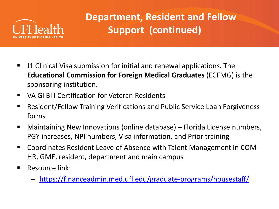

## **Department, Resident and Fellow Support (continued)**

- J1 Clinical Visa submission for initial and renewal applications. The **Educational Commission for Foreign Medical Graduates** (ECFMG) is the sponsoring institution.
- **UA GI Bill Certification for Veteran Residents**
- Resident/Fellow Training Verifications and Public Service Loan Forgiveness forms
- Maintaining New Innovations (online database) Florida License numbers, PGY increases, NPI numbers, Visa information, and Prior training
- Coordinates Resident Leave of Absence with Talent Management in COM-HR, GME, resident, department and main campus
- Resource link:
	- <https://financeadmin.med.ufl.edu/graduate-programs/housestaff/>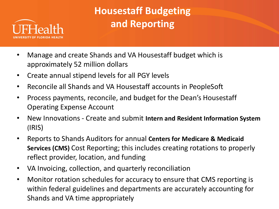

## **Housestaff Budgeting and Reporting**

- Manage and create Shands and VA Housestaff budget which is approximately 52 million dollars
- Create annual stipend levels for all PGY levels
- Reconcile all Shands and VA Housestaff accounts in PeopleSoft
- Process payments, reconcile, and budget for the Dean's Housestaff Operating Expense Account
- New Innovations Create and submit **Intern and Resident Information System** (IRIS)
- Reports to Shands Auditors for annual **Centers for Medicare & Medicaid Services (CMS)** Cost Reporting; this includes creating rotations to properly reflect provider, location, and funding
- VA Invoicing, collection, and quarterly reconciliation
- Monitor rotation schedules for accuracy to ensure that CMS reporting is within federal guidelines and departments are accurately accounting for Shands and VA time appropriately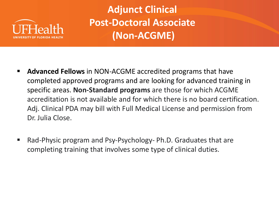

**Adjunct Clinical Post-Doctoral Associate (Non-ACGME)**

- **Advanced Fellows** in NON-ACGME accredited programs that have completed approved programs and are looking for advanced training in specific areas. **Non-Standard programs** are those for which ACGME accreditation is not available and for which there is no board certification. Adj. Clinical PDA may bill with Full Medical License and permission from Dr. Julia Close.
- Rad-Physic program and Psy-Psychology- Ph.D. Graduates that are completing training that involves some type of clinical duties.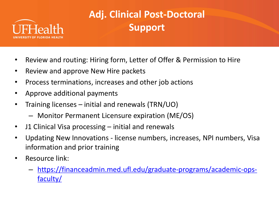

# **Adj. Clinical Post-Doctoral Support**

- Review and routing: Hiring form, Letter of Offer & Permission to Hire
- Review and approve New Hire packets
- Process terminations, increases and other job actions
- Approve additional payments
- Training licenses initial and renewals (TRN/UO)
	- Monitor Permanent Licensure expiration (ME/OS)
- J1 Clinical Visa processing initial and renewals
- Updating New Innovations license numbers, increases, NPI numbers, Visa information and prior training
- Resource link:
	- [https://financeadmin.med.ufl.edu/graduate-programs/academic-ops](https://financeadmin.med.ufl.edu/graduate-programs/academic-ops-faculty/)faculty/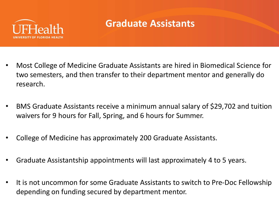

## **Graduate Assistants**

- Most College of Medicine Graduate Assistants are hired in Biomedical Science for two semesters, and then transfer to their department mentor and generally do research.
- BMS Graduate Assistants receive a minimum annual salary of \$29,702 and tuition waivers for 9 hours for Fall, Spring, and 6 hours for Summer.
- College of Medicine has approximately 200 Graduate Assistants.
- Graduate Assistantship appointments will last approximately 4 to 5 years.
- It is not uncommon for some Graduate Assistants to switch to Pre-Doc Fellowship depending on funding secured by department mentor.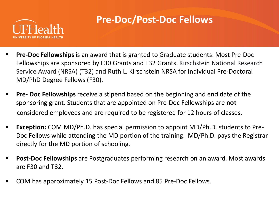

## **Pre-Doc/Post-Doc Fellows**

- **Pre-Doc Fellowships** is an award that is granted to Graduate students. Most Pre-Doc Fellowships are sponsored by F30 Grants and T32 Grants. Kirschstein National Research Service Award (NRSA) (T32) and Ruth L. Kirschstein NRSA for individual Pre-Doctoral MD/PhD Degree Fellows (F30).
- **Pre- Doc Fellowships** receive a stipend based on the beginning and end date of the sponsoring grant. Students that are appointed on Pre-Doc Fellowships are **not** considered employees and are required to be registered for 12 hours of classes.
- **Exception:** COM MD/Ph.D. has special permission to appoint MD/Ph.D. students to Pre-Doc Fellows while attending the MD portion of the training. MD/Ph.D. pays the Registrar directly for the MD portion of schooling.
- **Post-Doc Fellowships** are Postgraduates performing research on an award. Most awards are F30 and T32.
- COM has approximately 15 Post-Doc Fellows and 85 Pre-Doc Fellows.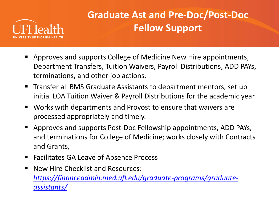

## **Graduate Ast and Pre-Doc/Post-Doc Fellow Support**

- Approves and supports College of Medicine New Hire appointments, Department Transfers, Tuition Waivers, Payroll Distributions, ADD PAYs, terminations, and other job actions.
- Transfer all BMS Graduate Assistants to department mentors, set up initial LOA Tuition Waiver & Payroll Distributions for the academic year.
- Works with departments and Provost to ensure that waivers are processed appropriately and timely.
- Approves and supports Post-Doc Fellowship appointments, ADD PAYs, and terminations for College of Medicine; works closely with Contracts and Grants,
- Facilitates GA Leave of Absence Process
- New Hire Checklist and Resources: *[https://financeadmin.med.ufl.edu/graduate-programs/graduate](https://financeadmin.med.ufl.edu/graduate-programs/graduate-assistants/)assistants/*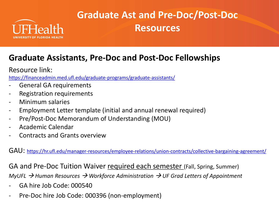

## **Graduate Ast and Pre-Doc/Post-Doc Resources**

#### **Graduate Assistants, Pre-Doc and Post-Doc Fellowships**

Resource link:

<https://financeadmin.med.ufl.edu/graduate-programs/graduate-assistants/>

- General GA requirements
- Registration requirements
- Minimum salaries
- Employment Letter template (initial and annual renewal required)
- Pre/Post-Doc Memorandum of Understanding (MOU)
- Academic Calendar
- Contracts and Grants overview

GAU:<https://hr.ufl.edu/manager-resources/employee-relations/union-contracts/collective-bargaining-agreement/>

GA and Pre-Doc Tuition Waiver required each semester (Fall, Spring, Summer)

*MyUFL Human Resources Workforce Administration UF Grad Letters of Appointment*

- GA hire Job Code: 000540
- Pre-Doc hire Job Code: 000396 (non-employment)